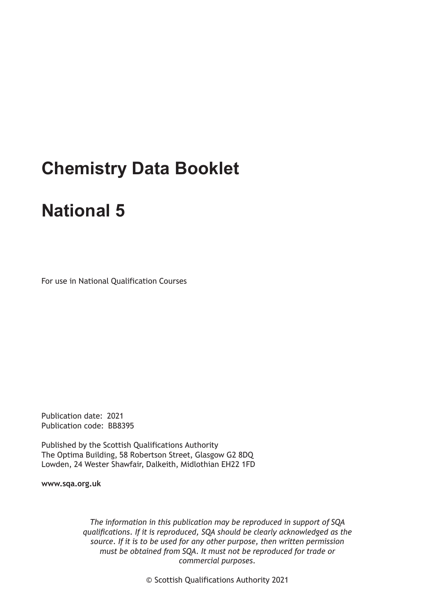# **Chemistry Data Booklet**

## **National 5**

For use in National Qualification Courses

Publication date: 2021 Publication code: BB8395

Published by the Scottish Qualifications Authority The Optima Building, 58 Robertson Street, Glasgow G2 8DQ Lowden, 24 Wester Shawfair, Dalkeith, Midlothian EH22 1FD

**www.sqa.org.uk**

*The information in this publication may be reproduced in support of SQA qualifications. If it is reproduced, SQA should be clearly acknowledged as the source. If it is to be used for any other purpose, then written permission must be obtained from SQA. It must not be reproduced for trade or commercial purposes.*

© Scottish Qualifications Authority 2021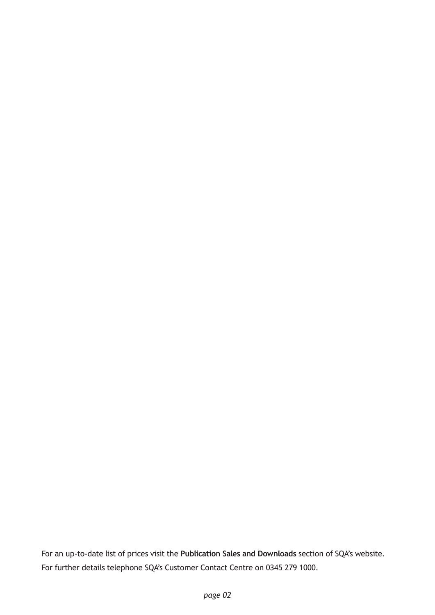For an up-to-date list of prices visit the **Publication Sales and Downloads** section of SQA's website. For further details telephone SQA's Customer Contact Centre on 0345 279 1000.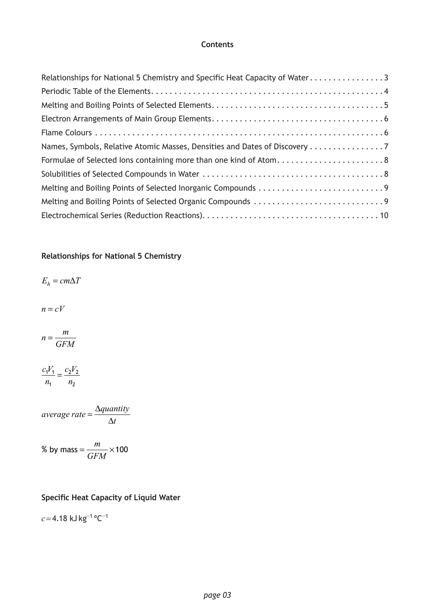#### **Contents**

| Relationships for National 5 Chemistry and Specific Heat Capacity of Water 3 |
|------------------------------------------------------------------------------|
|                                                                              |
|                                                                              |
|                                                                              |
|                                                                              |
| Names, Symbols, Relative Atomic Masses, Densities and Dates of Discovery 7   |
| Formulae of Selected Ions containing more than one kind of Atom8             |
|                                                                              |
|                                                                              |
|                                                                              |
|                                                                              |

#### **Relationships for National 5 Chemistry**

 $E_h = cm\Delta T$ 

 $n = cV$ 

$$
n = \frac{m}{GFM}
$$

$$
\frac{c_1 V_1}{n_1} = \frac{c_2 V_2}{n_2}
$$

 $average\ rate = \frac{\Delta quantity}{\Delta t}$ 

% by mass = 
$$
\frac{m}{GFM} \times 100
$$

#### **Specific Heat Capacity of Liquid Water**

*c*= 4.18 kJ kg−<sup>1</sup> °C−<sup>1</sup>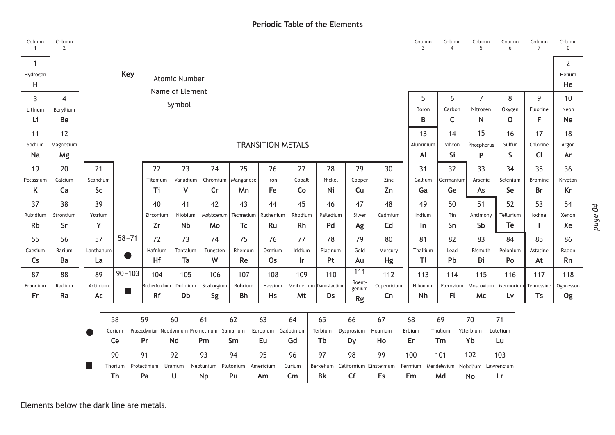#### **Periodic Table of the Elements**

<span id="page-3-0"></span>

| Column<br>$\mathbf{1}$ | Column<br>$\overline{2}$ |                  |           |                             |              |               |                 |                                                |           |            |           |                          |                         |                  |                           | Column<br>3 | Column<br>$\overline{4}$ |           | Column<br>5    | Column<br>6           | Column<br>$\overline{7}$ | Column<br>$\mathbf 0$    |
|------------------------|--------------------------|------------------|-----------|-----------------------------|--------------|---------------|-----------------|------------------------------------------------|-----------|------------|-----------|--------------------------|-------------------------|------------------|---------------------------|-------------|--------------------------|-----------|----------------|-----------------------|--------------------------|--------------------------|
| -1<br>Hydrogen         |                          |                  |           | <b>Key</b>                  |              |               | Atomic Number   |                                                |           |            |           |                          |                         |                  |                           |             |                          |           |                |                       |                          | $\overline{2}$<br>Helium |
| н                      |                          |                  |           |                             |              |               | Name of Element |                                                |           |            |           |                          |                         |                  |                           |             |                          |           |                |                       |                          | He                       |
| 3                      | $\overline{4}$           |                  |           |                             |              |               | Symbol          |                                                |           |            |           |                          |                         |                  |                           | 5           | 6                        |           | $\overline{7}$ | 8                     | 9                        | 10                       |
| Lithium                | Beryllium                |                  |           |                             |              |               |                 |                                                |           |            |           |                          |                         |                  |                           | Boron       | Carbon                   |           | Nitrogen       | Oxygen                | Fluorine                 | Neon                     |
| Li                     | Be                       |                  |           |                             |              |               |                 |                                                |           |            |           |                          |                         |                  |                           | B           | $\mathsf{C}$             |           | N              | $\mathbf{O}$          | F                        | <b>Ne</b>                |
| 11                     | 12                       |                  |           |                             |              |               |                 |                                                |           |            |           |                          |                         |                  |                           | 13          | 14                       |           | 15             | 16                    | 17                       | 18                       |
| Sodium                 | Magnesium                |                  |           |                             |              |               |                 |                                                |           |            |           | <b>TRANSITION METALS</b> |                         |                  |                           | Aluminium   | Silicon                  |           | Phosphorus     | Sulfur                | Chlorine                 | Argon                    |
| <b>Na</b>              | Mg                       |                  |           |                             |              |               |                 |                                                |           |            |           |                          |                         |                  |                           | Al          | Si                       |           | P              | $\mathsf{S}$          | <b>Cl</b>                | Ar                       |
| 19                     | 20                       |                  | 21        |                             |              | 22            | 23              | 24                                             |           | 25         | 26        | 27                       | 28                      | 29               | 30                        | 31          | 32                       |           | 33             | 34                    | 35                       | 36                       |
| Potassium              | Calcium                  |                  | Scandium  |                             |              | Titanium      | Vanadium        | Chromium                                       |           | Manganese  | Iron      | Cobalt                   | Nickel                  | Copper           | Zinc                      | Gallium     | Germanium                |           | Arsenic        | Selenium              | <b>Bromine</b>           | Krypton                  |
| K                      | Ca                       |                  | <b>Sc</b> |                             |              | Ti            | $\mathsf{V}$    | $\mathsf{Cr}$                                  |           | Mn.        | Fe        | Co                       | Ni                      | Cu               | Zn                        | Ga          | Ge                       |           | As             | <b>Se</b>             | <b>Br</b>                | Kr                       |
| 37                     | 38                       |                  | 39        |                             |              | 40            | 41              | 42                                             |           | 43         | 44        | 45                       | 46                      | 47               | 48                        | 49          | 50                       |           | 51             | 52                    | 53                       | 54                       |
| Rubidium               | Strontium                |                  | Yttrium   |                             |              | Zirconium     | Niobium         | Molybdenum                                     |           | Technetium | Ruthenium | Rhodium                  | Palladium               | Silver           | Cadmium                   | Indium      | Tin                      |           | Antimony       | Tellurium             | lodine                   | Xenon                    |
| <b>Rb</b>              | Sr                       |                  | Y         |                             |              | Zr            | <b>Nb</b>       | Mo                                             |           | Tc         | Ru        | <b>Rh</b>                | Pd                      | Ag               | C <sub>d</sub>            | In          | Sn                       |           | Sb             | Te                    | L.                       | Xe                       |
| 55                     | 56                       |                  | 57        | $58 - 71$                   |              | 72            | 73              | 74                                             |           | 75         | 76        | 77                       | 78                      | 79               | 80                        | 81          | 82                       |           | 83             | 84                    | 85                       | 86                       |
| Caesium                | Barium                   |                  | Lanthanum |                             |              | Hafnium       | Tantalum        | Tungsten                                       |           | Rhenium    | Osmium    | Iridium                  | Platinum                | Gold             | Mercury                   | Thallium    | Lead                     |           | Bismuth        | Polonium              | Astatine                 | Radon                    |
| Cs                     | Ba                       |                  | La        |                             |              | Hf            | Ta              | W                                              |           | Re         | Os        | <b>Ir</b>                | Pt                      | Au               | Hg                        | Τl          | Pb                       |           | Bi             | Po                    | At                       | <b>Rn</b>                |
| 87                     | 88                       |                  | 89        | $90 - 103$                  |              | 104           | 105             | 106                                            |           | 107        | 108       | 109                      | 110                     | 111              | 112                       | 113         | 114                      |           | 115            | 116                   | 117                      | 118                      |
| Francium               | Radium                   |                  | Actinium  | $\mathcal{O}(\mathbb{R}^d)$ |              | Rutherfordium | Dubnium         | Seaborgium                                     |           | Bohrium    | Hassium   |                          | Meitnerium Darmstadtium | Roent-<br>genium | Copernicium               | Nihonium    | Flerovium                |           |                | Moscovium Livermorium | Tennessine               | Oganesson                |
| Fr                     | Ra                       |                  | Ac        |                             |              | <b>Rf</b>     | Db              | Sg                                             |           | Bh         | <b>Hs</b> | Mt                       | Ds                      | Rg               | Cn                        | Nh          | F(                       |           | Mc             | Lv                    | Ts                       | Og                       |
|                        |                          |                  |           |                             |              |               |                 |                                                |           |            |           |                          |                         |                  |                           |             |                          |           |                |                       |                          |                          |
|                        |                          |                  |           | 58                          | 59           |               | 60              | 61                                             | 62        |            | 63        | 64                       | 65                      | 66               | 67                        | 68          | 69                       | 70        |                | 71                    |                          |                          |
|                        |                          |                  |           | Cerium                      |              |               |                 | Praseodymium Neodymium   Promethium   Samarium |           |            | Europium  | Gadolinium               | Terbium                 | Dysprosium       | Holmium                   | Erbium      | Thulium                  |           | Ytterbium      | Lutetium              |                          |                          |
|                        |                          |                  |           | Ce                          | Pr           |               | Nd              | Pm                                             | Sm        |            | Eu        | Gd                       | Tb                      | <b>Dy</b>        | Ho                        | Er          | Tm                       | Yb        |                | Lu                    |                          |                          |
|                        |                          |                  |           | 90                          | 91           |               | 92              | 93                                             | 94        |            | 95        | 96                       | 97                      | 98               | 99                        | 100         | 101                      | 102       |                | 103                   |                          |                          |
|                        |                          | <b>The State</b> |           | Thorium                     | Protactinium |               | Uranium         | Neptunium                                      | Plutonium |            | Americium | Curium                   | Berkelium               |                  | Californium   Einsteinium | Fermium     | Mendelevium              |           | Nobelium       | Lawrencium            |                          |                          |
|                        |                          |                  |           | <b>Th</b>                   | Pa           |               | U               | <b>Np</b>                                      | Pu        |            | Am        | $\mathsf{Cm}$            | <b>Bk</b>               | Cf               | Es                        | Fm          | Md                       | <b>No</b> |                | Lr.                   |                          |                          |

Elements below the dark line are metals.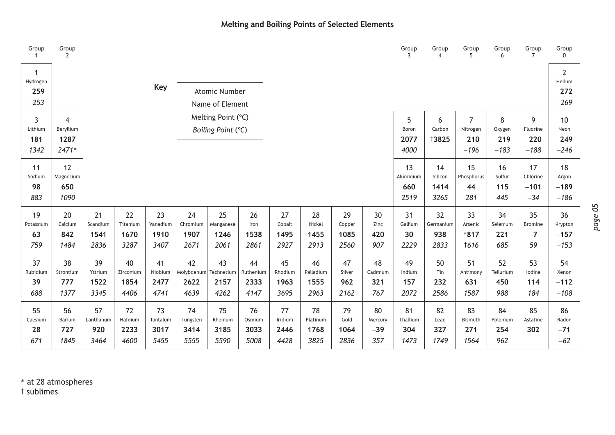#### **Melting and Boiling Points of Selected Elements**

<span id="page-4-0"></span>

| Group                              | Group<br>$\overline{2}$                      |                                |                                 |                                |                                             |                                          |                                 |                               |                                 |                              |                               | Group                          | Group<br>$\boldsymbol{\Delta}$ | Group<br>5                                     | Group<br>6                      | Group<br>$\overline{7}$           | Group<br>$\Omega$                            |
|------------------------------------|----------------------------------------------|--------------------------------|---------------------------------|--------------------------------|---------------------------------------------|------------------------------------------|---------------------------------|-------------------------------|---------------------------------|------------------------------|-------------------------------|--------------------------------|--------------------------------|------------------------------------------------|---------------------------------|-----------------------------------|----------------------------------------------|
| -1<br>Hydrogen<br>$-259$<br>$-253$ |                                              |                                |                                 | <b>Key</b>                     |                                             | <b>Atomic Number</b><br>Name of Element  |                                 |                               |                                 |                              |                               |                                |                                |                                                |                                 |                                   | $\overline{2}$<br>Helium<br>$-272$<br>$-269$ |
| 3<br>Lithium<br>181<br>1342        | $\overline{4}$<br>Beryllium<br>1287<br>2471* |                                |                                 |                                |                                             | Melting Point (°C)<br>Boiling Point (°C) |                                 |                               |                                 |                              |                               | 5<br>Boron<br>2077<br>4000     | 6<br>Carbon<br><b>†3825</b>    | $\overline{7}$<br>Nitrogen<br>$-210$<br>$-196$ | 8<br>Oxygen<br>$-219$<br>$-183$ | 9<br>Fluorine<br>$-220$<br>$-188$ | 10<br>Neon<br>$-249$<br>$-246$               |
| 11<br>Sodium<br>98<br>883          | 12<br>Magnesium<br>650<br>1090               |                                |                                 |                                |                                             |                                          |                                 |                               |                                 |                              |                               | 13<br>Aluminium<br>660<br>2519 | 14<br>Silicon<br>1414<br>3265  | 15<br>Phosphorus<br>44<br>281                  | 16<br>Sulfur<br>115<br>445      | 17<br>Chlorine<br>$-101$<br>$-34$ | 18<br>Argon<br>$-189$<br>$-186$              |
| 19<br>Potassium<br>63<br>759       | 20<br>Calcium<br>842<br>1484                 | 21<br>Scandium<br>1541<br>2836 | 22<br>Titanium<br>1670<br>3287  | 23<br>Vanadium<br>1910<br>3407 | 24<br>Chromium<br>1907<br>2671              | 25<br>Manganese<br>1246<br>2061          | 26<br>Iron<br>1538<br>2861      | 27<br>Cobalt<br>1495<br>2927  | 28<br>Nickel<br>1455<br>2913    | 29<br>Copper<br>1085<br>2560 | 30<br>Zinc<br>420<br>907      | 31<br>Gallium<br>30<br>2229    | 32<br>Germanium<br>938<br>2833 | 33<br>Arsenic<br>$*817$<br><b>t616</b>         | 34<br>Selenium<br>221<br>685    | 35<br>Bromine<br>$-7$<br>59       | 36<br>Krypton<br>$-157$<br>$-153$            |
| 37<br>Rubidium<br>39<br>688        | 38<br>Strontium<br>777<br>1377               | 39<br>Yttrium<br>1522<br>3345  | 40<br>Zirconium<br>1854<br>4406 | 41<br>Niobium<br>2477<br>4741  | 42<br>Molybdenum Technetium<br>2622<br>4639 | 43<br>2157<br>4262                       | 44<br>Ruthenium<br>2333<br>4147 | 45<br>Rhodium<br>1963<br>3695 | 46<br>Palladium<br>1555<br>2963 | 47<br>Silver<br>962<br>2162  | 48<br>Cadmium<br>321<br>767   | 49<br>Indium<br>157<br>2072    | 50<br>Tin<br>232<br>2586       | 51<br>Antimony<br>631<br>1587                  | 52<br>Tellurium<br>450<br>988   | 53<br>lodine<br>114<br>184        | 54<br>Xenon<br>$-112$<br>$-108$              |
| 55<br>Caesium<br>28<br>671         | 56<br>Barium<br>727<br>1845                  | 57<br>Lanthanum<br>920<br>3464 | 72<br>Hafnium<br>2233<br>4600   | 73<br>Tantalum<br>3017<br>5455 | 74<br>Tungsten<br>3414<br>5555              | 75<br>Rhenium<br>3185<br>5590            | 76<br>Osmium<br>3033<br>5008    | 77<br>Iridium<br>2446<br>4428 | 78<br>Platinum<br>1768<br>3825  | 79<br>Gold<br>1064<br>2836   | 80<br>Mercury<br>$-39$<br>357 | 81<br>Thallium<br>304<br>1473  | 82<br>Lead<br>327<br>1749      | 83<br>Bismuth<br>271<br>1564                   | 84<br>Polonium<br>254<br>962    | 85<br>Astatine<br>302             | 86<br>Radon<br>$-71$<br>$-62$                |

\* at 28 atmospheres † sublimes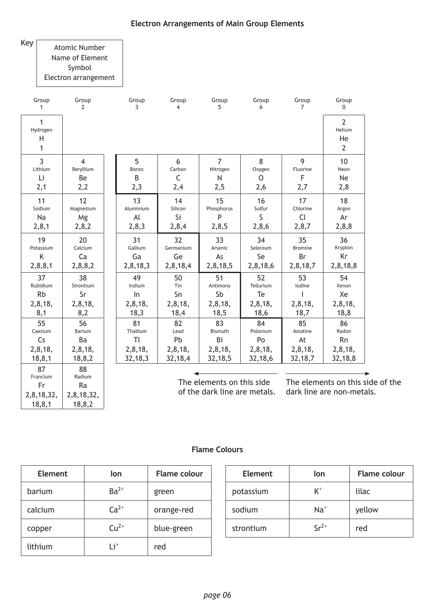<span id="page-5-0"></span>Key

Fr 2,8,18,32, 18,8,1

Ra 2,8,18,32, 18,8,2

#### Atomic Number

Name of Element

Symbol

Electron arrangement

| Group                              | Group          | Group     | Group                   | Group          | Group        | Group          | Group                                            |
|------------------------------------|----------------|-----------|-------------------------|----------------|--------------|----------------|--------------------------------------------------|
| $\mathbf{1}$                       | $\overline{2}$ | 3         | $\overline{\mathbf{4}}$ | 5              | 6            | $\overline{7}$ | 0                                                |
| $\mathbf{1}$<br>Hydrogen<br>H<br>1 |                |           |                         |                |              |                | $\overline{2}$<br>Helium<br>He<br>$\overline{2}$ |
| $\overline{3}$                     | $\overline{4}$ | 5         | 6                       | $\overline{7}$ | 8            | 9              | 10                                               |
| Lithium                            | Beryllium      | Boron     | Carbon                  | Nitrogen       | Oxygen       | Fluorine       | Neon                                             |
| Li                                 | Be             | B         | $\mathsf{C}$            | $\mathsf{N}$   | $\mathsf{O}$ | F              | Ne                                               |
| 2,1                                | 2,2            | 2,3       | 2,4                     | 2,5            | 2,6          | 2,7            | 2,8                                              |
| 11                                 | 12             | 13        | 14                      | 15             | 16           | 17             | 18                                               |
| Sodium                             | Magnesium      | Aluminium | Silicon                 | Phosphorus     | Sulfur       | Chlorine       | Argon                                            |
| Na                                 | Mg             | Al        | Si                      | P              | S            | Cl             | Ar                                               |
| 2, 8, 1                            | 2,8,2          | 2,8,3     | 2,8,4                   | 2,8,5          | 2,8,6        | 2,8,7          | 2,8,8                                            |
| 19                                 | 20             | 31        | 32                      | 33             | 34           | 35             | 36                                               |
| Potassium                          | Calcium        | Gallium   | Germanium               | Arsenic        | Selenium     | <b>Bromine</b> | Krypton                                          |
| Κ                                  | Ca             | Ga        | Ge                      | As             | Se           | Br             | Kr                                               |
| 2,8,8,1                            | 2,8,8,2        | 2,8,18,3  | 2,8,18,4                | 2,8,18,5       | 2,8,18,6     | 2,8,18,7       | 2,8,18,8                                         |
| 37                                 | 38             | 49        | 50                      | 51             | 52           | 53             | 54                                               |
| Rubidium                           | Strontium      | Indium    | Tin                     | Antimony       | Tellurium    | lodine         | Xenon                                            |
| <b>Rb</b>                          | Sr             | In        | Sn                      | Sb             | Te           | I              | Xe                                               |
| 2,8,18,                            | 2,8,18,        | 2,8,18,   | 2,8,18,                 | 2,8,18,        | 2,8,18,      | 2,8,18,        | 2,8,18,                                          |
| 8,1                                | 8,2            | 18,3      | 18,4                    | 18,5           | 18,6         | 18,7           | 18,8                                             |
| 55                                 | 56             | 81        | 82                      | 83             | 84           | 85             | 86                                               |
| Caesium                            | Barium         | Thallium  | Lead                    | Bismuth        | Polonium     | Astatine       | Radon                                            |
| Cs                                 | Ba             | Tl        | Pb                      | Bi             | Po           | At             | <b>Rn</b>                                        |
| 2,8,18,                            | 2,8,18,        | 2,8,18,   | 2,8,18,                 | 2,8,18,        | 2,8,18,      | 2,8,18,        | 2,8,18,                                          |
| 18, 8, 1                           | 18,8,2         | 32,18,3   | 32,18,4                 | 32,18,5        | 32,18,6      | 32,18,7        | 32,18,8                                          |
| 87<br>Francium                     | 88<br>Radium   |           |                         |                |              |                |                                                  |

The elements on this side of the dark line are metals.

The elements on this side of the dark line are non-metals.

#### **Flame Colours**

| <b>Element</b> | lon       | <b>Flame colour</b> | <b>Element</b> | lon       | Flame  |
|----------------|-----------|---------------------|----------------|-----------|--------|
| barium         | $Ba^{2+}$ | green               | potassium      | $K^+$     | lilac  |
| calcium        | $Ca2+$    | orange-red          | sodium         | $Na+$     | yellow |
| copper         | $Cu2+$    | blue-green          | strontium      | $Sr^{2+}$ | red    |
| lithium        | $Li^{+}$  | red                 |                |           |        |

| <b>Element</b> | lon       | <b>Flame colour</b> | <b>Element</b> | lon       | <b>Flame colour</b> |
|----------------|-----------|---------------------|----------------|-----------|---------------------|
| า่นm           | $Ba^{2+}$ | green               | potassium      | $K^+$     | lilac               |
| cium           | $Ca2+$    | orange-red          | sodium         | $Na+$     | yellow              |
| pper           | $Cu2+$    | blue-green          | strontium      | $Sr^{2+}$ | red                 |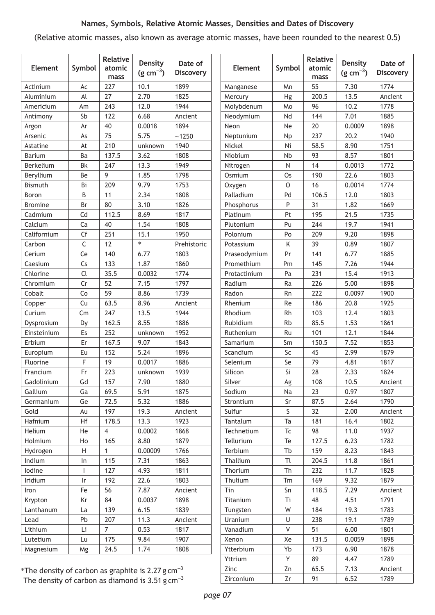#### **Names, Symbols, Relative Atomic Masses, Densities and Dates of Discovery**

<span id="page-6-0"></span>(Relative atomic masses, also known as average atomic masses, have been rounded to the nearest 0.5)

| <b>Element</b> | Symbol                  | Relative<br>atomic<br>mass | <b>Density</b><br>$(g cm^{-3})$ | Date of<br><b>Discovery</b> | <b>Element</b> | Symbol    | <b>Relative</b><br>atomic<br>mass | <b>Density</b><br>$(g cm^{-3})$ | Date of<br><b>Discovery</b> |
|----------------|-------------------------|----------------------------|---------------------------------|-----------------------------|----------------|-----------|-----------------------------------|---------------------------------|-----------------------------|
| Actinium       | Ac                      | 227                        | 10.1                            | 1899                        | Manganese      | Mn        | 55                                | 7.30                            | 1774                        |
| Aluminium      | Al                      | 27                         | 2.70                            | 1825                        | Mercury        | Hg        | 200.5                             | 13.5                            | Ancient                     |
| Americium      | Am                      | 243                        | 12.0                            | 1944                        | Molybdenum     |           | 96                                | 10.2                            | 1778                        |
| Antimony       | Sb                      | 122                        | 6.68                            | Ancient                     | Neodymium      | Nd        | 144                               | 7.01                            | 1885                        |
| Argon          | Ar                      | 40                         | 0.0018                          | 1894                        | Neon           | <b>Ne</b> | 20                                | 0.0009                          | 1898                        |
| Arsenic        | As                      | 75                         | 5.75                            | ~1250                       | Neptunium      | <b>Np</b> | 237                               | 20.2                            | 1940                        |
| Astatine       | At                      | 210                        | unknown                         | 1940                        | Nickel         | Ni        | 58.5                              | 8.90                            | 1751                        |
| Barium         | Ba                      | 137.5                      | 3.62                            | 1808                        | Niobium        | <b>Nb</b> | 93                                | 8.57                            | 1801                        |
| Berkelium      | <b>Bk</b>               | 247                        | 13.3                            | 1949                        | Nitrogen       | ${\sf N}$ | 14                                | 0.0013                          | 1772                        |
| Beryllium      | Be                      | 9                          | 1.85                            | 1798                        | Osmium         | Os        | 190                               | 22.6                            | 1803                        |
| <b>Bismuth</b> | Bi                      | 209                        | 9.79                            | 1753                        | Oxygen         | $\circ$   | 16                                | 0.0014                          | 1774                        |
| Boron          | B                       | 11                         | 2.34                            | 1808                        | Palladium      | Pd        | 106.5                             | 12.0                            | 1803                        |
| <b>Bromine</b> | Br                      | 80                         | 3.10                            | 1826                        | Phosphorus     | P         | 31                                | 1.82                            | 1669                        |
| Cadmium        | Cd                      | 112.5                      | 8.69                            | 1817                        | Platinum       | Pt        | 195                               | 21.5                            | 1735                        |
| Calcium        | Ca                      | 40                         | 1.54                            | 1808                        | Plutonium      | Pu        | 244                               | 19.7                            | 1941                        |
| Californium    | Cf                      | 251                        | 15.1                            | 1950                        | Polonium       | Po        | 209                               | 9.20                            | 1898                        |
| Carbon         | C                       | 12                         | $\ast$                          | Prehistoric                 | Potassium      | Κ         | 39                                | 0.89                            | 1807                        |
| Cerium         | Ce                      | 140                        | 6.77                            | 1803                        | Praseodymium   | Pr        | 141                               | 6.77                            | 1885                        |
| Caesium        | Cs                      | 133                        | 1.87                            | 1860                        | Promethium     | Pm        | 145                               | 7.26                            | 1944                        |
| Chlorine       | Cl                      | 35.5                       | 0.0032                          | 1774                        | Protactinium   | Pa        | 231                               | 15.4                            | 1913                        |
| Chromium       | Cr                      | 52                         | 7.15                            | 1797                        | Radium         | Ra        | 226                               | 5.00                            | 1898                        |
| Cobalt         | Co                      | 59                         | 8.86                            | 1739                        | Radon          | Rn        | 222                               | 0.0097                          | 1900                        |
| Copper         | Cu                      | 63.5                       | 8.96                            | Ancient                     | Rhenium        | Re        | 186                               | 20.8                            | 1925                        |
| Curium         | Cm                      | 247                        | 13.5                            | 1944                        | Rhodium        | Rh        | 103                               | 12.4                            | 1803                        |
| Dysprosium     | Dy                      | 162.5                      | 8.55                            | 1886                        | Rubidium       | <b>Rb</b> | 85.5                              | 1.53                            | 1861                        |
| Einsteinium    | Es                      | 252                        | unknown                         | 1952                        | Ruthenium      | Ru        | 101                               | 12.1                            | 1844                        |
| Erbium         | Er                      | 167.5                      | 9.07                            | 1843                        | Samarium       | Sm        | 150.5                             | 7.52                            | 1853                        |
| Europium       | Eu                      | 152                        | 5.24                            | 1896                        | Scandium       | Sc        | 45                                | 2.99                            | 1879                        |
| Fluorine       | F                       | 19                         | 0.0017                          | 1886                        | Selenium       | Se        | 79                                | 4.81                            | 1817                        |
| Francium       | Fr                      | 223                        | unknown                         | 1939                        | Silicon        | Si        | 28                                | 2.33                            | 1824                        |
| Gadolinium     | Gd                      | 157                        | 7.90                            | 1880                        | Silver         | Ag        | 108                               | 10.5                            | Ancient                     |
| Gallium        | Ga                      | 69.5                       | 5.91                            | 1875                        | Sodium         | Na        | 23                                | 0.97                            | 1807                        |
| Germanium      | Ge                      | 72.5                       | 5.32                            | 1886                        | Strontium      | Sr        | 87.5                              | 2.64                            | 1790                        |
| Gold           | Au                      | 197                        | 19.3                            | Ancient                     | Sulfur         | S         | 32                                | 2.00                            | Ancient                     |
| Hafnium        | Hf                      | 178.5                      | 13.3                            | 1923                        | Tantalum       | Ta        | 181                               | 16.4                            | 1802                        |
| Helium         | He                      | $\overline{4}$             | 0.0002                          | 1868                        | Technetium     | <b>Tc</b> | 98                                | 11.0                            | 1937                        |
| Holmium        | Ho                      | 165                        | 8.80                            | 1879                        | Tellurium      | Te        | 127.5                             | 6.23                            | 1782                        |
| Hydrogen       | H                       | $\mathbf{1}$               | 0.00009                         | 1766                        | Terbium        | Tb        | 159                               | 8.23                            | 1843                        |
| Indium         | In                      | 115                        | 7.31                            | 1863                        | Thallium       | Tl        | 204.5                             | 11.8                            | 1861                        |
| lodine         | T                       | 127                        | 4.93                            | 1811                        | Thorium        | Th        | 232                               | 11.7                            | 1828                        |
| Iridium        | $\mathsf{I} \mathsf{r}$ | 192                        | 22.6                            | 1803                        | Thulium        | Tm        | 169                               | 9.32                            | 1879                        |
| Iron           | Fe                      | 56                         | 7.87                            | Ancient                     | Tin            | Sn        | 118.5                             | 7.29                            | Ancient                     |
| Krypton        | Kr                      | 84                         | 0.0037                          | 1898                        | Titanium       | Ti        | 48                                | 4.51                            | 1791                        |
| Lanthanum      | La                      | 139                        | 6.15                            | 1839                        | Tungsten       | W         | 184                               | 19.3                            | 1783                        |
| Lead           | Pb                      | 207                        | 11.3                            | Ancient                     | Uranium        | U         | 238                               | 19.1                            | 1789                        |
| Lithium        | Li                      | $\overline{7}$             | 0.53                            | 1817                        | Vanadium       | V         | 51                                | 6.00                            | 1801                        |
| Lutetium       | Lu                      | 175                        | 9.84                            | 1907                        | Xenon          | Xe        | 131.5                             | 0.0059                          | 1898                        |
| Magnesium      | Mg                      | 24.5                       | 1.74                            | 1808                        | Ytterbium      | Yb        | 173                               | 6.90                            | 1878                        |
|                |                         |                            |                                 |                             | Yttrium        | Y         | 89                                | 4.47                            | 1789                        |

\*The density of carbon as graphite is 2.27  $g \text{ cm}^{-3}$ The density of carbon as diamond is  $3.51 \text{ g cm}^{-3}$ 

Zinc 2n 65.5 7.13 Ancient Zirconium | Zr | 91 | 6.52 | 1789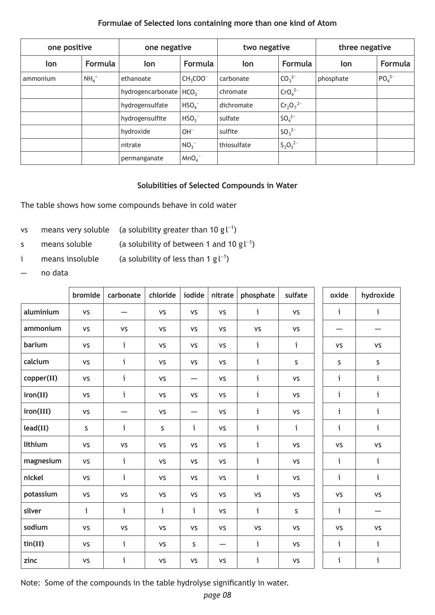#### **Formulae of Selected Ions containing more than one kind of Atom**

<span id="page-7-0"></span>

| one positive          |        | one negative      |                  | two negative |                                | three negative |                               |  |
|-----------------------|--------|-------------------|------------------|--------------|--------------------------------|----------------|-------------------------------|--|
| <b>Formula</b><br>lon |        | Formula<br>lon    |                  | lon          | Formula                        | lon            | Formula                       |  |
| ammonium              | $NH4+$ | ethanoate         | $CH3COO-$        | carbonate    | $CO_3^{2-}$                    | phosphate      | PO <sub>4</sub> <sup>3–</sup> |  |
|                       |        | hydrogencarbonate | HCO <sub>3</sub> | chromate     | CrO <sub>4</sub> <sup>2–</sup> |                |                               |  |
|                       |        | hydrogensulfate   | HSO <sub>4</sub> | dichromate   | $Cr_2O_7^{2-}$                 |                |                               |  |
|                       |        | hydrogensulfite   | $HSO_3^-$        | sulfate      | $SO_4^{2-}$                    |                |                               |  |
|                       |        | hydroxide         | $OH^-$           | sulfite      | $SO_3^{2-}$                    |                |                               |  |
|                       |        | nitrate           | $NO_3^-$         | thiosulfate  | $S_2O_3^{2-}$                  |                |                               |  |
|                       |        | permanganate      | MnO <sub>4</sub> |              |                                |                |                               |  |

#### **Solubilities of Selected Compounds in Water**

The table shows how some compounds behave in cold water

- vs means very soluble (a solubility greater than 10 g  $\mathsf{I}^{-1}$ )
- s means soluble (a solubility of between 1 and 10  $g^{-1}$ )
- i means insoluble (a solubility of less than 1 g $\mathsf{l}^{-1}$ )
- no data

|                         | bromide     | carbonate | chloride     | iodide       | nitrate           | phosphate    | sulfate   | oxide        | hydroxide    |
|-------------------------|-------------|-----------|--------------|--------------|-------------------|--------------|-----------|--------------|--------------|
| aluminium               | <b>VS</b>   |           | <b>VS</b>    | <b>VS</b>    | VS                | i            | <b>VS</b> | i            | i            |
| ammonium                | <b>VS</b>   | <b>VS</b> | <b>VS</b>    | <b>VS</b>    | VS                | VS           | <b>VS</b> |              |              |
| barium                  | <b>VS</b>   | i         | <b>VS</b>    | <b>VS</b>    | <b>VS</b>         | i            | i         | <b>VS</b>    | <b>VS</b>    |
| calcium                 | <b>VS</b>   | i         | <b>VS</b>    | <b>VS</b>    | VS                | i            | $\sf S$   | S            | $\mathsf S$  |
| copper(II)              | <b>VS</b>   | i         | <b>VS</b>    |              | <b>VS</b>         | i.           | <b>VS</b> | i            | i            |
| iron(II)                | <b>VS</b>   | i         | <b>VS</b>    | <b>VS</b>    | VS                | i            | <b>VS</b> | i            | i            |
| iron(III)               | <b>VS</b>   | —         | <b>VS</b>    |              | <b>VS</b>         | i            | <b>VS</b> | i            | i            |
| lead(II)                | $\mathsf S$ | i         | S            | i            | VS                | i            | i         | i            | i            |
| lithium                 | <b>VS</b>   | <b>VS</b> | VS           | VS           | VS                | i            | VS        | VS           | VS           |
| magnesium               | <b>VS</b>   | i         | <b>VS</b>    | VS           | VS                | i.           | VS        | i            | i            |
| nickel                  | <b>VS</b>   | i         | <b>VS</b>    | <b>VS</b>    | <b>VS</b>         | i            | <b>VS</b> | $\mathbf{i}$ | $\mathbf{i}$ |
| potassium               | <b>VS</b>   | <b>VS</b> | <b>VS</b>    | <b>VS</b>    | <b>VS</b>         | <b>VS</b>    | <b>VS</b> | <b>VS</b>    | <b>VS</b>    |
| silver                  | i           | i         | $\mathbf{i}$ | $\mathbf{i}$ | <b>VS</b>         | $\mathbf{i}$ | S         | i            |              |
| sodium                  | <b>VS</b>   | VS        | <b>VS</b>    | VS           | VS                | VS           | VS        | <b>VS</b>    | VS           |
| $\text{tin}(\text{II})$ | <b>VS</b>   | i.        | <b>VS</b>    | $\sf S$      | $\qquad \qquad -$ | i            | <b>VS</b> | i            | i            |
| zinc                    | <b>VS</b>   | i         | VS           | VS           | <b>VS</b>         | i            | VS        | i            | i            |

Note: Some of the compounds in the table hydrolyse significantly in water.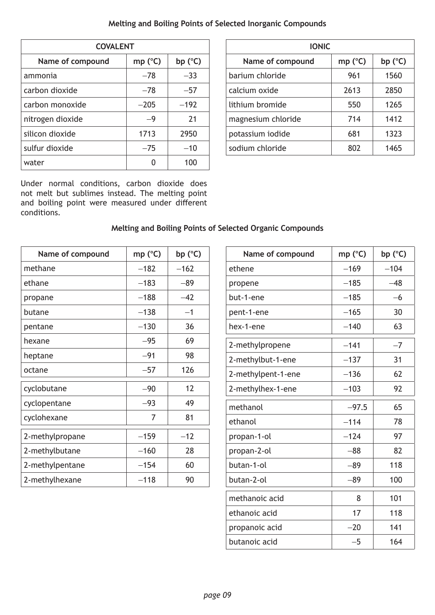#### **Melting and Boiling Points of Selected Inorganic Compounds**

<span id="page-8-0"></span>

| <b>COVALENT</b>  |                  |                  |
|------------------|------------------|------------------|
| Name of compound | mp $(^{\circ}C)$ | bp $(^{\circ}C)$ |
| ammonia          | $-78$            | $-33$            |
| carbon dioxide   | $-78$            | $-57$            |
| carbon monoxide  | $-205$           | $-192$           |
| nitrogen dioxide | $-9$             | 21               |
| silicon dioxide  | 1713             | 2950             |
| sulfur dioxide   | $-75$            | $-10$            |
| water            | 0                | 100              |

Under normal conditions, carbon dioxide does not melt but sublimes instead. The melting point and boiling point were measured under different conditions.

| <b>COVALENT</b>  |         |         | <b>IONIC</b>       |                  |         |  |  |  |
|------------------|---------|---------|--------------------|------------------|---------|--|--|--|
| Name of compound | mp (°C) | bp (°C) | Name of compound   | mp $(^{\circ}C)$ | bp (°C) |  |  |  |
| nonia            | $-78$   | $-33$   | barium chloride    | 961              | 1560    |  |  |  |
| on dioxide       | $-78$   | $-57$   | calcium oxide      | 2613             | 2850    |  |  |  |
| on monoxide      | $-205$  | $-192$  | lithium bromide    | 550              | 1265    |  |  |  |
| ogen dioxide     | $-9$    | 21      | magnesium chloride | 714              | 1412    |  |  |  |
| on dioxide       | 1713    | 2950    | potassium iodide   | 681              | 1323    |  |  |  |
| ur dioxide       | $-75$   | $-10$   | sodium chloride    | 802              | 1465    |  |  |  |
|                  |         |         |                    |                  |         |  |  |  |

## **Melting and Boiling Points of Selected Organic Compounds**

| Name of compound | mp $(^{\circ}C)$ | bp $(^{\circ}C)$ |
|------------------|------------------|------------------|
| methane          | $-182$           | $-162$           |
| ethane           | $-183$           | $-89$            |
| propane          | $-188$           | $-42$            |
| butane           | $-138$           | $-1$             |
| pentane          | $-130$           | 36               |
| hexane           | $-95$            | 69               |
| heptane          | $-91$            | 98               |
| octane           | $-57$            | 126              |
| cyclobutane      | $-90$            | 12               |
| cyclopentane     | $-93$            | 49               |
| cyclohexane      | 7                | 81               |
| 2-methylpropane  | $-159$           | $-12$            |
| 2-methylbutane   | $-160$           | 28               |
| 2-methylpentane  | $-154$           | 60               |
| 2-methylhexane   | $-118$           | 90               |

| Name of compound   | mp $(^{\circ}C)$ | bp $(^{\circ}C)$ |
|--------------------|------------------|------------------|
| ethene             | $-169$           | $-104$           |
| propene            | $-185$           | $-48$            |
| but-1-ene          | $-185$           | $-6$             |
| pent-1-ene         | $-165$           | 30               |
| hex-1-ene          | $-140$           | 63               |
| 2-methylpropene    | $-141$           | $-7$             |
| 2-methylbut-1-ene  | $-137$           | 31               |
| 2-methylpent-1-ene | $-136$           | 62               |
| 2-methylhex-1-ene  | $-103$           | 92               |
| methanol           | $-97.5$          | 65               |
| ethanol            | $-114$           | 78               |
| propan-1-ol        | $-124$           | 97               |
| propan-2-ol        | $-88$            | 82               |
| butan-1-ol         | $-89$            | 118              |
| butan-2-ol         | $-89$            | 100              |
| methanoic acid     | 8                | 101              |
| ethanoic acid      | 17               | 118              |
| propanoic acid     | $-20$            | 141              |
| butanoic acid      | -5               | 164              |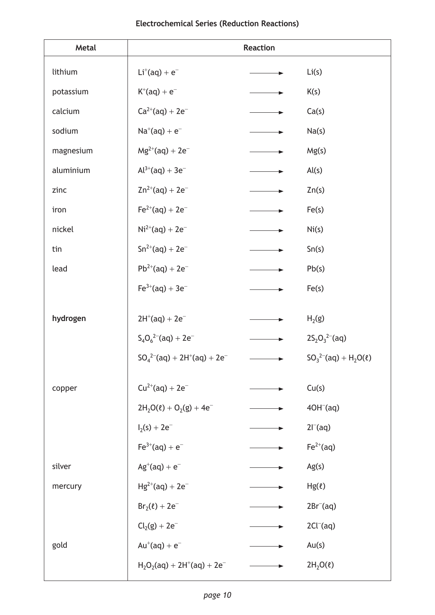#### **Electrochemical Series (Reduction Reactions)**

<span id="page-9-0"></span>

| <b>Metal</b> |                                      | <b>Reaction</b> |                                               |
|--------------|--------------------------------------|-----------------|-----------------------------------------------|
| lithium      | $Li^+(aq) + e^-$                     |                 | Li(s)                                         |
| potassium    | $K^{+}(aq) + e^{-}$                  |                 | K(s)                                          |
| calcium      | $Ca^{2+}(aq) + 2e^{-}$               |                 | Ca(s)                                         |
| sodium       | $Na^+(aq) + e^-$                     |                 | Na(s)                                         |
| magnesium    | $Mg^{2+}(aq) + 2e^-$                 |                 | Mg(s)                                         |
| aluminium    | $Al^{3+}(aq) + 3e^{-}$               |                 | Al(s)                                         |
| zinc         | $Zn^{2+}(aq) + 2e^-$                 |                 | Zn(s)                                         |
| iron         | $Fe^{2+}(aq) + 2e^{-}$               |                 | Fe(s)                                         |
| nickel       | $Ni^{2+}(aq) + 2e^-$                 |                 | Ni(s)                                         |
| tin          | $Sn^{2+}(aq) + 2e^{-}$               |                 | Sn(s)                                         |
| lead         | $Pb^{2+}(aq) + 2e^-$                 |                 | Pb(s)                                         |
|              | $Fe^{3+}(aq) + 3e^{-}$               |                 | Fe(s)                                         |
| hydrogen     | $2H^{+}(aq) + 2e^{-}$                |                 | H <sub>2</sub> (g)                            |
|              | $S_4O_6^{2-}$ (aq) + 2e <sup>-</sup> |                 | $2S_2O_3^{2-}$ (aq)                           |
|              | $SO_4^{2-}(aq) + 2H^+(aq) + 2e^-$    |                 | $SO_3^{2-}$ (aq) + H <sub>2</sub> O( $\ell$ ) |
|              |                                      |                 |                                               |
| copper       | $Cu^{2+}(aq) + 2e^-$                 |                 | Cu(s)                                         |
|              | $2H_2O(\ell) + O_2(g) + 4e^{-}$      |                 | $4OH-(aq)$                                    |
|              | $I_2(s) + 2e^-$                      |                 | $2I^{-}(aq)$                                  |
|              | $Fe^{3+}(aq) + e^{-}$                |                 | $Fe2+(aq)$                                    |
| silver       | $Ag^{+}(aq) + e^{-}$                 |                 | Ag(s)                                         |
| mercury      | $Hg^{2+}(aq) + 2e^-$                 |                 | $Hg(\ell)$                                    |
|              | $Br_2(\ell) + 2e^-$                  |                 | $2Br^{-}(aq)$                                 |
|              | $Cl2(g) + 2e^-$                      |                 | $2Cl^{-}(aq)$                                 |
| gold         | $Au^+(aq) + e^-$                     |                 | Au(s)                                         |
|              | $H_2O_2(aq) + 2H^+(aq) + 2e^-$       |                 | $2H_2O(\ell)$                                 |